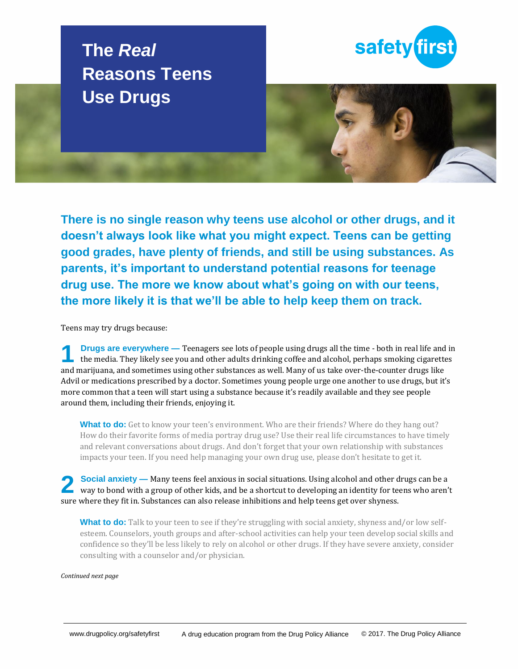# **The** *Real* **Reasons Teens Use Drugs**





**There is no single reason why teens use alcohol or other drugs, and it doesn't always look like what you might expect. Teens can be getting good grades, have plenty of friends, and still be using substances. As parents, it's important to understand potential reasons for teenage drug use. The more we know about what's going on with our teens, the more likely it is that we'll be able to help keep them on track.**

Teens may try drugs because:

**Drugs are everywhere —** Teenagers see lots of people using drugs all the time - both in real life and in the media. They likely see you and other adults drinking coffee and alcohol, perhaps smoking cigarettes and marijuana, and sometimes using other substances as well. Many of us take over-the-counter drugs like Advil or medications prescribed by a doctor. Sometimes young people urge one another to use drugs, but it's more common that a teen will start using a substance because it's readily available and they see people around them, including their friends, enjoying it. **1**

**What to do:** Get to know your teen's environment. Who are their friends? Where do they hang out? How do their favorite forms of media portray drug use? Use their real life circumstances to have timely and relevant conversations about drugs. And don't forget that your own relationship with substances impacts your teen. If you need help managing your own drug use, please don't hesitate to get it.

**Social anxiety —** Many teens feel anxious in social situations. Using alcohol and other drugs can be a way to bond with a group of other kids, and be a shortcut to developing an identity for teens who aren't sure where they fit in. Substances can also release inhibitions and help teens get over shyness. **2**

**What to do:** Talk to your teen to see if they're struggling with social anxiety, shyness and/or low selfesteem. Counselors, youth groups and after-school activities can help your teen develop social skills and confidence so they'll be less likely to rely on alcohol or other drugs. If they have severe anxiety, consider consulting with a counselor and/or physician.

## *Continued next page*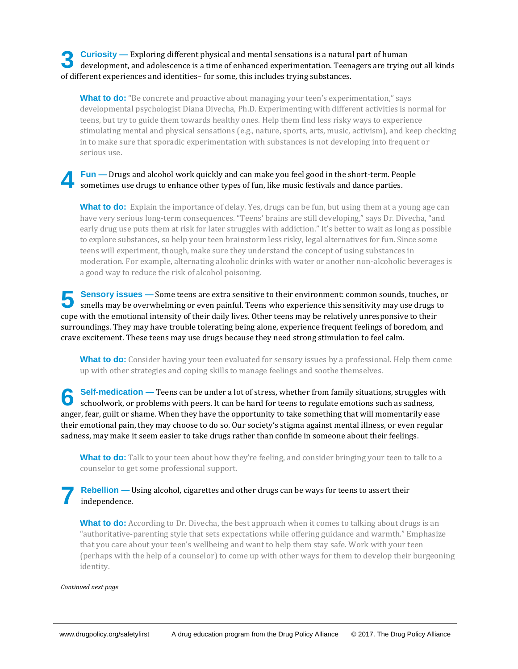**Curiosity —** Exploring different physical and mental sensations is a natural part of human **3** Curiosity — Exploring different physical and mental sensations is a natural part of human development, and adolescence is a time of enhanced experimentation. Teenagers are trying out all kinds of different experiences and identities– for some, this includes trying substances.

**What to do:** "Be concrete and proactive about managing your teen's experimentation," says developmental psychologist Diana Divecha, Ph.D. Experimenting with different activities is normal for teens, but try to guide them towards healthy ones. Help them find less risky ways to experience stimulating mental and physical sensations (e.g., nature, sports, arts, music, activism), and keep checking in to make sure that sporadic experimentation with substances is not developing into frequent or serious use.

#### **Fun —** Drugs and alcohol work quickly and can make you feel good in the short-term. People sometimes use drugs to enhance other types of fun, like music festivals and dance parties. **4**

**What to do:** Explain the importance of delay. Yes, drugs can be fun, but using them at a young age can have very serious long-term consequences. "Teens' brains are still developing," says Dr. Divecha, "and early drug use puts them at risk for later struggles with addiction." It's better to wait as long as possible to explore substances, so help your teen brainstorm less risky, legal alternatives for fun. Since some teens will experiment, though, make sure they understand the concept of using substances in moderation. For example, alternating alcoholic drinks with water or another non-alcoholic beverages is a good way to reduce the risk of alcohol poisoning.

**Sensory issues —** Some teens are extra sensitive to their environment: common sounds, touches, or smells may be overwhelming or even painful. Teens who experience this sensitivity may use drugs to cope with the emotional intensity of their daily lives. Other teens may be relatively unresponsive to their surroundings. They may have trouble tolerating being alone, experience frequent feelings of boredom, and crave excitement. These teens may use drugs because they need strong stimulation to feel calm. **5**

**What to do:** Consider having your teen evaluated for sensory issues by a professional. Help them come up with other strategies and coping skills to manage feelings and soothe themselves.

**Self-medication —** Teens can be under a lot of stress, whether from family situations, struggles with Self-medication — Teens can be under a lot of stress, whether from family situations, struggles w schoolwork, or problems with peers. It can be hard for teens to regulate emotions such as sadness, anger, fear, guilt or shame. When they have the opportunity to take something that will momentarily ease their emotional pain, they may choose to do so. Our society's stigma against mental illness, or even regular sadness, may make it seem easier to take drugs rather than confide in someone about their feelings.

**What to do:** Talk to your teen about how they're feeling, and consider bringing your teen to talk to a counselor to get some professional support.

### **Rebellion —** Using alcohol, cigarettes and other drugs can be ways for teens to assert their independence. **7**

**What to do:** According to Dr. Divecha, the best approach when it comes to talking about drugs is an "authoritative-parenting style that sets expectations while offering guidance and warmth." Emphasize that you care about your teen's wellbeing and want to help them stay safe. Work with your teen (perhaps with the help of a counselor) to come up with other ways for them to develop their burgeoning identity.

## *Continued next page*